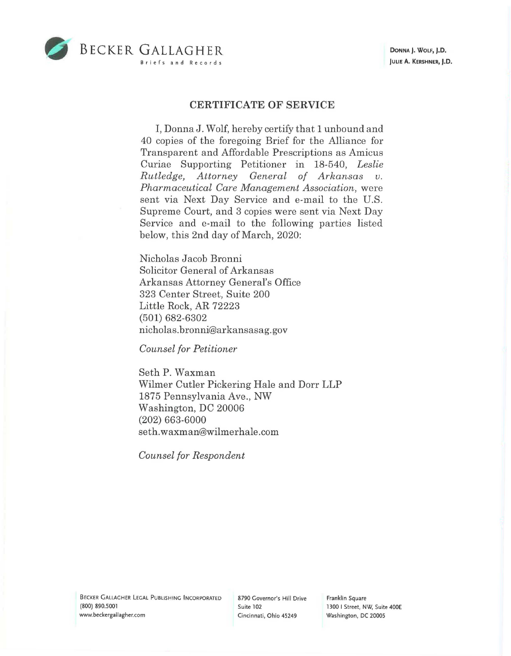



## **CERTIFICATE OF SERVICE**

I, Donna J. Wolf, hereby certify that 1 unbound and 40 copies of the foregoing Brief for the Alliance for Transparent and Affordable Prescriptions as Amicus Curiae Supporting Petitioner in 18-540, *Leslie Rutledge, Attorney General of Arkansas v. Pharmaceutical Care Management Association,* were sent via Next Day Service and e-mail to the U.S. Supreme Court, and 3 copies were sent via Next Day Service and e-mail to the following parties listed below, this 2nd day of March, 2020:

Nicholas Jacob Bronni Solicitor General of Arkansas Arkansas Attorney General's Office 323 Center Street, Suite 200 Little Rock, AR 72223 (501) 682-6302 nicholas.bronni@arkansasag.gov

*Counsel for Petitioner* 

Seth P. Waxman Wilmer Cutler Pickering Hale and Dorr LLP 1875 Pennsylvania Ave., NW Washington, DC 20006 (202) 663-6000 seth. waxman@wilmer hale .com

*Counsel for Respondent* 

Franklin Square 1300 I Street, NW, Suite 400E Washington, DC 20005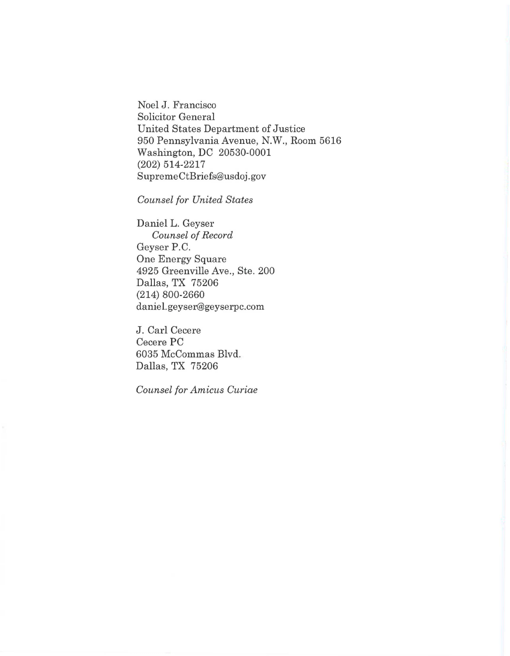Noel J. Francisco Solicitor General United States Department of Justice 950 Pennsylvania Avenue, N.W., Room 5616 Washington, DC 20530-0001 (202) 514-2217 Supreme CtBriefs@usdoj.gov

*Counsel for United States* 

Daniel L. Geyser *Counsel of Record*  Geyser P.C. One Energy Square 4925 Greenville Ave., Ste. 200 Dallas, TX 75206 (214) 800-2660 daniel. geyser@geyserpc.com

J. Carl Cecere Cecere PC 6035 McCommas Blvd. Dallas, TX 75206

*Counsel for Amicus Curiae*